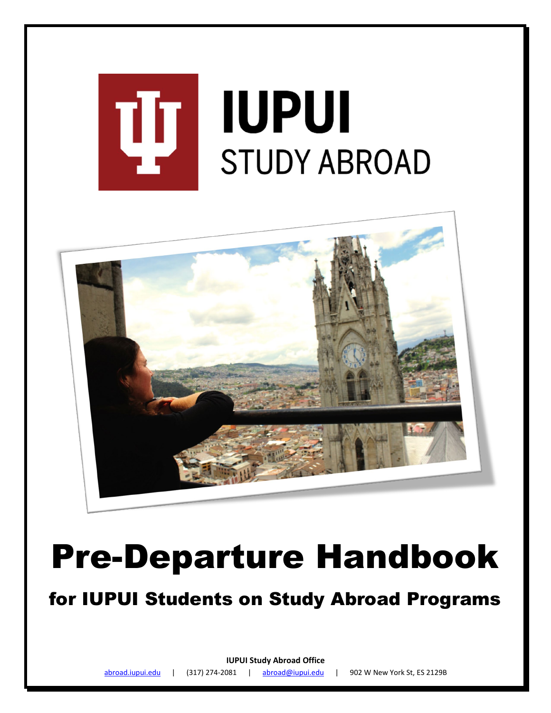

# Pre-Departure Handbook

for IUPUI Students on Study Abroad Programs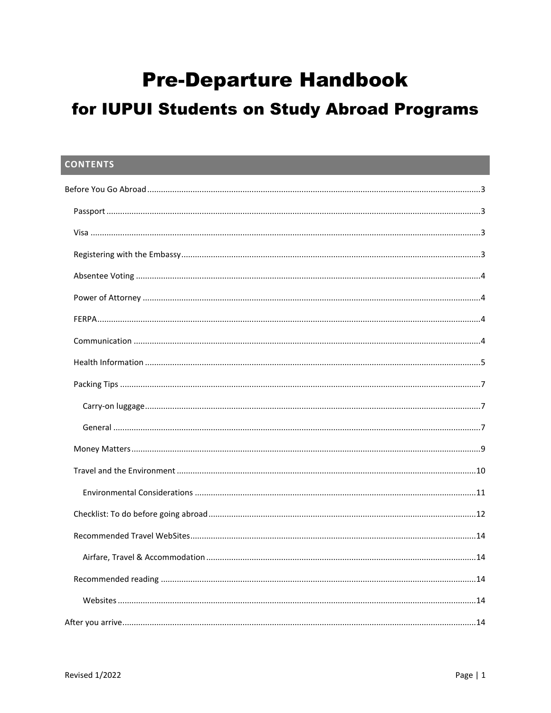# **Pre-Departure Handbook**

# for IUPUI Students on Study Abroad Programs

| <b>CONTENTS</b> |  |
|-----------------|--|
|                 |  |
|                 |  |
|                 |  |
|                 |  |
|                 |  |
|                 |  |
|                 |  |
|                 |  |
|                 |  |
|                 |  |
|                 |  |
|                 |  |
|                 |  |
|                 |  |
|                 |  |
|                 |  |
|                 |  |
|                 |  |
|                 |  |
|                 |  |
|                 |  |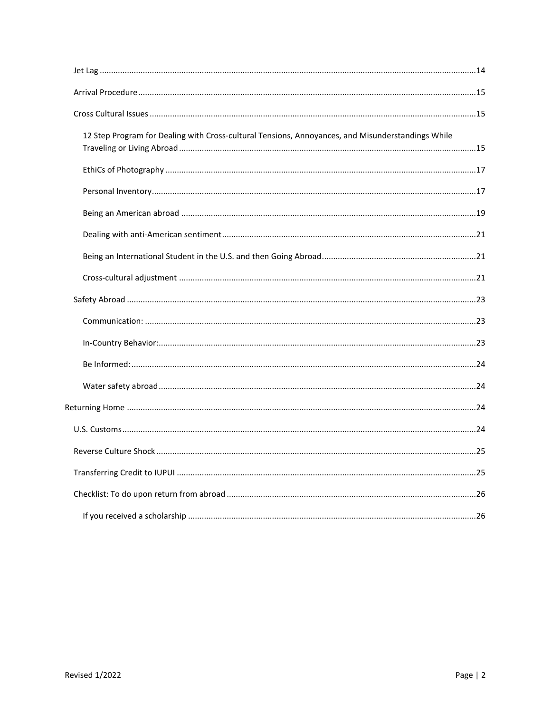| 12 Step Program for Dealing with Cross-cultural Tensions, Annoyances, and Misunderstandings While |  |
|---------------------------------------------------------------------------------------------------|--|
|                                                                                                   |  |
|                                                                                                   |  |
|                                                                                                   |  |
|                                                                                                   |  |
|                                                                                                   |  |
|                                                                                                   |  |
|                                                                                                   |  |
|                                                                                                   |  |
|                                                                                                   |  |
|                                                                                                   |  |
|                                                                                                   |  |
|                                                                                                   |  |
|                                                                                                   |  |
|                                                                                                   |  |
|                                                                                                   |  |
|                                                                                                   |  |
|                                                                                                   |  |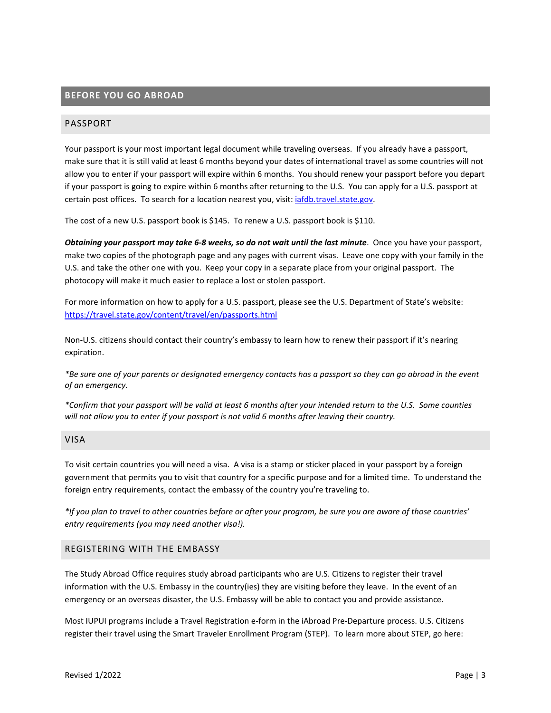# <span id="page-3-0"></span>**BEFORE YOU GO ABROAD**

# <span id="page-3-1"></span>PASSPORT

Your passport is your most important legal document while traveling overseas. If you already have a passport, make sure that it is still valid at least 6 months beyond your dates of international travel as some countries will not allow you to enter if your passport will expire within 6 months. You should renew your passport before you depart if your passport is going to expire within 6 months after returning to the U.S. You can apply for a U.S. passport at certain post offices. To search for a location nearest you, visit: [iafdb.travel.state.gov.](http://iafdb.travel.state.gov/)

The cost of a new U.S. passport book is \$145. To renew a U.S. passport book is \$110.

*Obtaining your passport may take 6-8 weeks, so do not wait until the last minute*. Once you have your passport, make two copies of the photograph page and any pages with current visas. Leave one copy with your family in the U.S. and take the other one with you. Keep your copy in a separate place from your original passport. The photocopy will make it much easier to replace a lost or stolen passport.

For more information on how to apply for a U.S. passport, please see the U.S. Department of State's website: https://travel.state.gov/content/travel/en/passports.html

Non-U.S. citizens should contact their country's embassy to learn how to renew their passport if it's nearing expiration.

*\*Be sure one of your parents or designated emergency contacts has a passport so they can go abroad in the event of an emergency.* 

*\*Confirm that your passport will be valid at least 6 months after your intended return to the U.S. Some counties will not allow you to enter if your passport is not valid 6 months after leaving their country.*

#### <span id="page-3-2"></span>VISA

To visit certain countries you will need a visa. A visa is a stamp or sticker placed in your passport by a foreign government that permits you to visit that country for a specific purpose and for a limited time. To understand the foreign entry requirements, contact the embassy of the country you're traveling to.

*\*If you plan to travel to other countries before or after your program, be sure you are aware of those countries' entry requirements (you may need another visa!).*

# <span id="page-3-3"></span>REGISTERING WITH THE EMBASSY

The Study Abroad Office requires study abroad participants who are U.S. Citizens to register their travel information with the U.S. Embassy in the country(ies) they are visiting before they leave. In the event of an emergency or an overseas disaster, the U.S. Embassy will be able to contact you and provide assistance.

Most IUPUI programs include a Travel Registration e-form in the iAbroad Pre-Departure process. U.S. Citizens register their travel using the Smart Traveler Enrollment Program (STEP). To learn more about STEP, go here: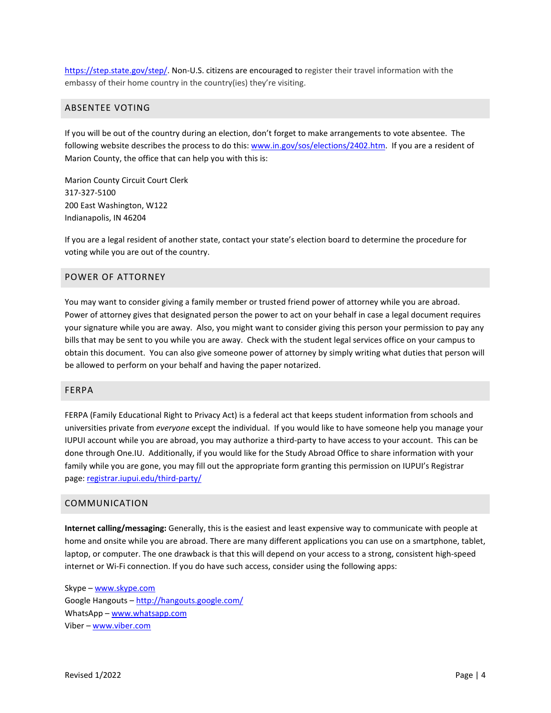https://step.state.gov/step/. Non-U.S. citizens are encouraged to register their travel information with the embassy of their home country in the country(ies) they're visiting.

#### <span id="page-4-0"></span>ABSENTEE VOTING

If you will be out of the country during an election, don't forget to make arrangements to vote absentee. The following website describes the process to do this: [www.in.gov/sos/elections/2402.htm.](http://www.in.gov/sos/elections/2402.htm) If you are a resident of Marion County, the office that can help you with this is:

Marion County Circuit Court Clerk 317-327-5100 200 East Washington, W122 Indianapolis, IN 46204

If you are a legal resident of another state, contact your state's election board to determine the procedure for voting while you are out of the country.

# <span id="page-4-1"></span>POWER OF ATTORNEY

You may want to consider giving a family member or trusted friend power of attorney while you are abroad. Power of attorney gives that designated person the power to act on your behalf in case a legal document requires your signature while you are away. Also, you might want to consider giving this person your permission to pay any bills that may be sent to you while you are away. Check with the student legal services office on your campus to obtain this document. You can also give someone power of attorney by simply writing what duties that person will be allowed to perform on your behalf and having the paper notarized.

#### <span id="page-4-2"></span>FERPA

FERPA (Family Educational Right to Privacy Act) is a federal act that keeps student information from schools and universities private from *everyone* except the individual. If you would like to have someone help you manage your IUPUI account while you are abroad, you may authorize a third-party to have access to your account. This can be done through One.IU. Additionally, if you would like for the Study Abroad Office to share information with your family while you are gone, you may fill out the appropriate form granting this permission on IUPUI's Registrar page[: registrar.iupui.edu/third-party/](http://registrar.iupui.edu/third-party/)

# <span id="page-4-3"></span>COMMUNICATION

**Internet calling/messaging:** Generally, this is the easiest and least expensive way to communicate with people at home and onsite while you are abroad. There are many different applications you can use on a smartphone, tablet, laptop, or computer. The one drawback is that this will depend on your access to a strong, consistent high-speed internet or Wi-Fi connection. If you do have such access, consider using the following apps:

Skype – [www.skype.com](http://www.skype.com/) Google Hangouts – <http://hangouts.google.com/> WhatsApp - [www.whatsapp.com](http://www.whatsapp.com/) Viber – [www.viber.com](http://www.viber.com/)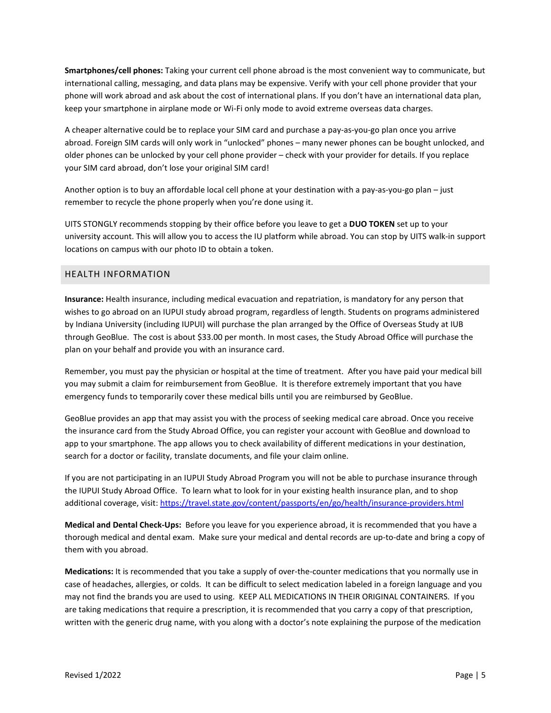**Smartphones/cell phones:** Taking your current cell phone abroad is the most convenient way to communicate, but international calling, messaging, and data plans may be expensive. Verify with your cell phone provider that your phone will work abroad and ask about the cost of international plans. If you don't have an international data plan, keep your smartphone in airplane mode or Wi-Fi only mode to avoid extreme overseas data charges.

A cheaper alternative could be to replace your SIM card and purchase a pay-as-you-go plan once you arrive abroad. Foreign SIM cards will only work in "unlocked" phones – many newer phones can be bought unlocked, and older phones can be unlocked by your cell phone provider – check with your provider for details. If you replace your SIM card abroad, don't lose your original SIM card!

Another option is to buy an affordable local cell phone at your destination with a pay-as-you-go plan – just remember to recycle the phone properly when you're done using it.

UITS STONGLY recommends stopping by their office before you leave to get a **DUO TOKEN** set up to your university account. This will allow you to access the IU platform while abroad. You can stop by UITS walk-in support locations on campus with our photo ID to obtain a token.

# <span id="page-5-0"></span>HEALTH INFORMATION

**Insurance:** Health insurance, including medical evacuation and repatriation, is mandatory for any person that wishes to go abroad on an IUPUI study abroad program, regardless of length. Students on programs administered by Indiana University (including IUPUI) will purchase the plan arranged by the Office of Overseas Study at IUB through GeoBlue. The cost is about \$33.00 per month. In most cases, the Study Abroad Office will purchase the plan on your behalf and provide you with an insurance card.

Remember, you must pay the physician or hospital at the time of treatment. After you have paid your medical bill you may submit a claim for reimbursement from GeoBlue. It is therefore extremely important that you have emergency funds to temporarily cover these medical bills until you are reimbursed by GeoBlue.

GeoBlue provides an app that may assist you with the process of seeking medical care abroad. Once you receive the insurance card from the Study Abroad Office, you can register your account with GeoBlue and download to app to your smartphone. The app allows you to check availability of different medications in your destination, search for a doctor or facility, translate documents, and file your claim online.

If you are not participating in an IUPUI Study Abroad Program you will not be able to purchase insurance through the IUPUI Study Abroad Office. To learn what to look for in your existing health insurance plan, and to shop additional coverage, visit:<https://travel.state.gov/content/passports/en/go/health/insurance-providers.html>

**Medical and Dental Check-Ups:** Before you leave for you experience abroad, it is recommended that you have a thorough medical and dental exam. Make sure your medical and dental records are up-to-date and bring a copy of them with you abroad.

**Medications:** It is recommended that you take a supply of over-the-counter medications that you normally use in case of headaches, allergies, or colds. It can be difficult to select medication labeled in a foreign language and you may not find the brands you are used to using. KEEP ALL MEDICATIONS IN THEIR ORIGINAL CONTAINERS. If you are taking medications that require a prescription, it is recommended that you carry a copy of that prescription, written with the generic drug name, with you along with a doctor's note explaining the purpose of the medication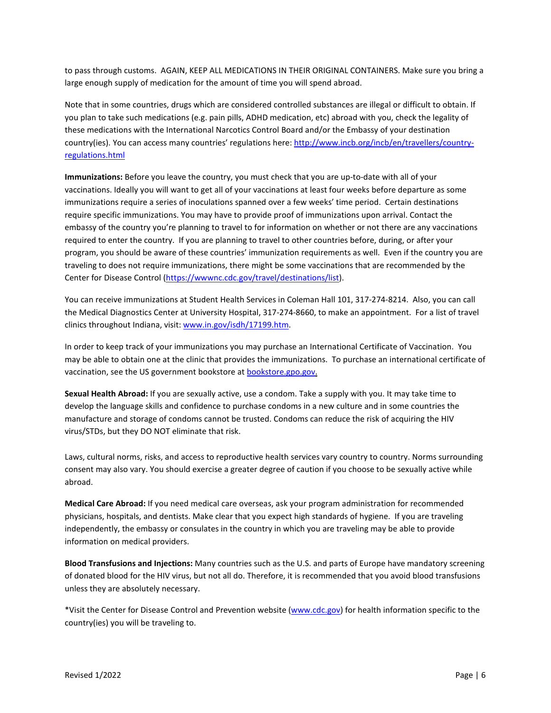to pass through customs. AGAIN, KEEP ALL MEDICATIONS IN THEIR ORIGINAL CONTAINERS. Make sure you bring a large enough supply of medication for the amount of time you will spend abroad.

Note that in some countries, drugs which are considered controlled substances are illegal or difficult to obtain. If you plan to take such medications (e.g. pain pills, ADHD medication, etc) abroad with you, check the legality of these medications with the International Narcotics Control Board and/or the Embassy of your destination country(ies). You can access many countries' regulations here: [http://www.incb.org/incb/en/travellers/country](http://www.incb.org/incb/en/travellers/country-regulations.html)[regulations.html](http://www.incb.org/incb/en/travellers/country-regulations.html)

**Immunizations:** Before you leave the country, you must check that you are up-to-date with all of your vaccinations. Ideally you will want to get all of your vaccinations at least four weeks before departure as some immunizations require a series of inoculations spanned over a few weeks' time period. Certain destinations require specific immunizations. You may have to provide proof of immunizations upon arrival. Contact the embassy of the country you're planning to travel to for information on whether or not there are any vaccinations required to enter the country. If you are planning to travel to other countries before, during, or after your program, you should be aware of these countries' immunization requirements as well. Even if the country you are traveling to does not require immunizations, there might be some vaccinations that are recommended by the Center for Disease Control [\(https://wwwnc.cdc.gov/travel/destinations/list\)](https://wwwnc.cdc.gov/travel/destinations/list).

You can receive immunizations at Student Health Services in Coleman Hall 101, 317-274-8214. Also, you can call the Medical Diagnostics Center at University Hospital, 317-274-8660, to make an appointment. For a list of travel clinics throughout Indiana, visit[: www.in.gov/isdh/17199.htm.](http://www.in.gov/isdh/17199.htm)

In order to keep track of your immunizations you may purchase an International Certificate of Vaccination. You may be able to obtain one at the clinic that provides the immunizations. To purchase an international certificate of vaccination, see the US government bookstore a[t bookstore.gpo.gov.](http://bookstore.gpo.gov/)

**Sexual Health Abroad:** If you are sexually active, use a condom. Take a supply with you. It may take time to develop the language skills and confidence to purchase condoms in a new culture and in some countries the manufacture and storage of condoms cannot be trusted. Condoms can reduce the risk of acquiring the HIV virus/STDs, but they DO NOT eliminate that risk.

Laws, cultural norms, risks, and access to reproductive health services vary country to country. Norms surrounding consent may also vary. You should exercise a greater degree of caution if you choose to be sexually active while abroad.

**Medical Care Abroad:** If you need medical care overseas, ask your program administration for recommended physicians, hospitals, and dentists. Make clear that you expect high standards of hygiene. If you are traveling independently, the embassy or consulates in the country in which you are traveling may be able to provide information on medical providers.

**Blood Transfusions and Injections:** Many countries such as the U.S. and parts of Europe have mandatory screening of donated blood for the HIV virus, but not all do. Therefore, it is recommended that you avoid blood transfusions unless they are absolutely necessary.

\*Visit the Center for Disease Control and Prevention website [\(www.cdc.gov\)](http://www.cdc.gov/) for health information specific to the country(ies) you will be traveling to.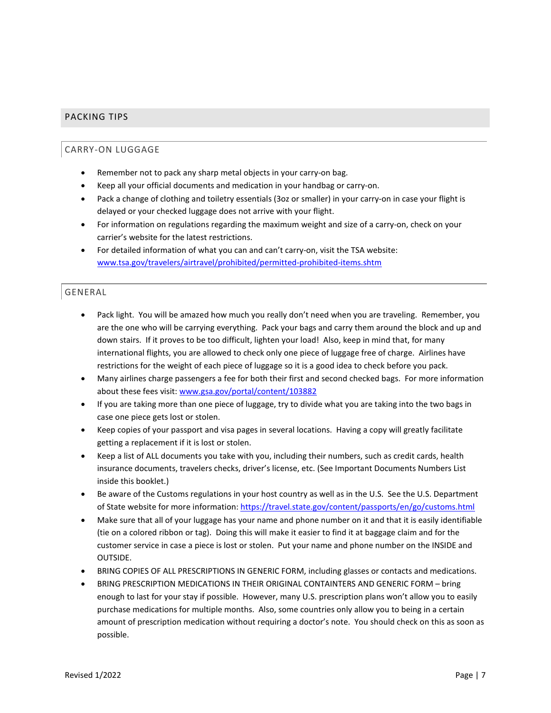# <span id="page-7-1"></span><span id="page-7-0"></span>PACKING TIPS

# CARRY-ON LUGGAGE

- Remember not to pack any sharp metal objects in your carry-on bag.
- Keep all your official documents and medication in your handbag or carry-on.
- Pack a change of clothing and toiletry essentials (3oz or smaller) in your carry-on in case your flight is delayed or your checked luggage does not arrive with your flight.
- For information on regulations regarding the maximum weight and size of a carry-on, check on your carrier's website for the latest restrictions.
- For detailed information of what you can and can't carry-on, visit the TSA website: [www.tsa.gov/travelers/airtravel/prohibited/permitted-prohibited-items.shtm](http://www.tsa.gov/travelers/airtravel/prohibited/permitted-prohibited-items.shtm)

# <span id="page-7-2"></span>GENERAL

- Pack light. You will be amazed how much you really don't need when you are traveling. Remember, you are the one who will be carrying everything. Pack your bags and carry them around the block and up and down stairs. If it proves to be too difficult, lighten your load! Also, keep in mind that, for many international flights, you are allowed to check only one piece of luggage free of charge. Airlines have restrictions for the weight of each piece of luggage so it is a good idea to check before you pack.
- Many airlines charge passengers a fee for both their first and second checked bags. For more information about these fees visit[: www.gsa.gov/portal/content/103882](http://www.gsa.gov/portal/content/103882)
- If you are taking more than one piece of luggage, try to divide what you are taking into the two bags in case one piece gets lost or stolen.
- Keep copies of your passport and visa pages in several locations. Having a copy will greatly facilitate getting a replacement if it is lost or stolen.
- Keep a list of ALL documents you take with you, including their numbers, such as credit cards, health insurance documents, travelers checks, driver's license, etc. (See Important Documents Numbers List inside this booklet.)
- Be aware of the Customs regulations in your host country as well as in the U.S. See the U.S. Department of State website for more information[: https://travel.state.gov/content/passports/en/go/customs.html](https://travel.state.gov/content/passports/en/go/customs.html)
- Make sure that all of your luggage has your name and phone number on it and that it is easily identifiable (tie on a colored ribbon or tag). Doing this will make it easier to find it at baggage claim and for the customer service in case a piece is lost or stolen. Put your name and phone number on the INSIDE and OUTSIDE.
- BRING COPIES OF ALL PRESCRIPTIONS IN GENERIC FORM, including glasses or contacts and medications.
- BRING PRESCRIPTION MEDICATIONS IN THEIR ORIGINAL CONTAINTERS AND GENERIC FORM bring enough to last for your stay if possible. However, many U.S. prescription plans won't allow you to easily purchase medications for multiple months. Also, some countries only allow you to being in a certain amount of prescription medication without requiring a doctor's note. You should check on this as soon as possible.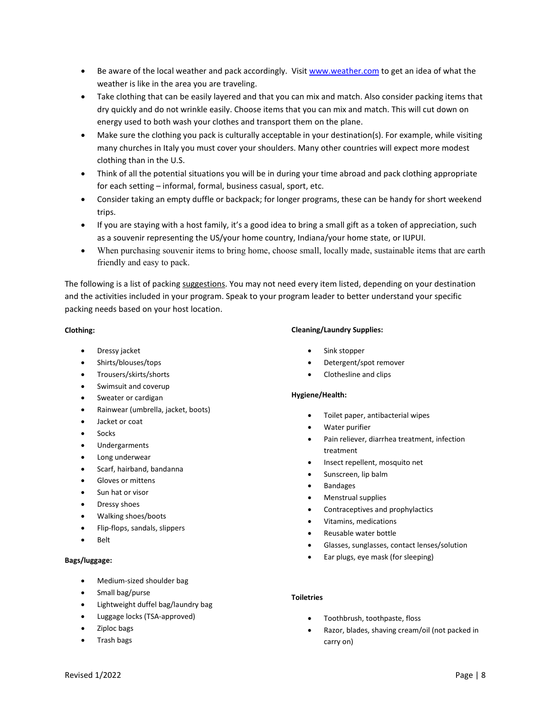- Be aware of the local weather and pack accordingly. Visi[t www.weather.com](http://www.weather.com/) to get an idea of what the weather is like in the area you are traveling.
- Take clothing that can be easily layered and that you can mix and match. Also consider packing items that dry quickly and do not wrinkle easily. Choose items that you can mix and match. This will cut down on energy used to both wash your clothes and transport them on the plane.
- Make sure the clothing you pack is culturally acceptable in your destination(s). For example, while visiting many churches in Italy you must cover your shoulders. Many other countries will expect more modest clothing than in the U.S.
- Think of all the potential situations you will be in during your time abroad and pack clothing appropriate for each setting – informal, formal, business casual, sport, etc.
- Consider taking an empty duffle or backpack; for longer programs, these can be handy for short weekend trips.
- If you are staying with a host family, it's a good idea to bring a small gift as a token of appreciation, such as a souvenir representing the US/your home country, Indiana/your home state, or IUPUI.
- When purchasing souvenir items to bring home, choose small, locally made, sustainable items that are earth friendly and easy to pack.

The following is a list of packing suggestions. You may not need every item listed, depending on your destination and the activities included in your program. Speak to your program leader to better understand your specific packing needs based on your host location.

#### **Clothing:**

- Dressy jacket
- Shirts/blouses/tops
- Trousers/skirts/shorts
- Swimsuit and coverup
- Sweater or cardigan
- Rainwear (umbrella, jacket, boots)
- Jacket or coat
- Socks
- Undergarments
- Long underwear
- Scarf, hairband, bandanna
- Gloves or mittens
- Sun hat or visor
- Dressy shoes
- Walking shoes/boots
- Flip-flops, sandals, slippers
- Belt

# **Bags/luggage:**

- Medium-sized shoulder bag
- Small bag/purse
- Lightweight duffel bag/laundry bag
- Luggage locks (TSA-approved)
- Ziploc bags
- Trash bags

#### **Cleaning/Laundry Supplies:**

- Sink stopper
- Detergent/spot remover
- Clothesline and clips

# **Hygiene/Health:**

- Toilet paper, antibacterial wipes
- Water purifier
- Pain reliever, diarrhea treatment, infection treatment
- Insect repellent, mosquito net
- Sunscreen, lip balm
- Bandages
- Menstrual supplies
- Contraceptives and prophylactics
- Vitamins, medications
- Reusable water bottle
- Glasses, sunglasses, contact lenses/solution
- Ear plugs, eye mask (for sleeping)

# **Toiletries**

- Toothbrush, toothpaste, floss
- Razor, blades, shaving cream/oil (not packed in carry on)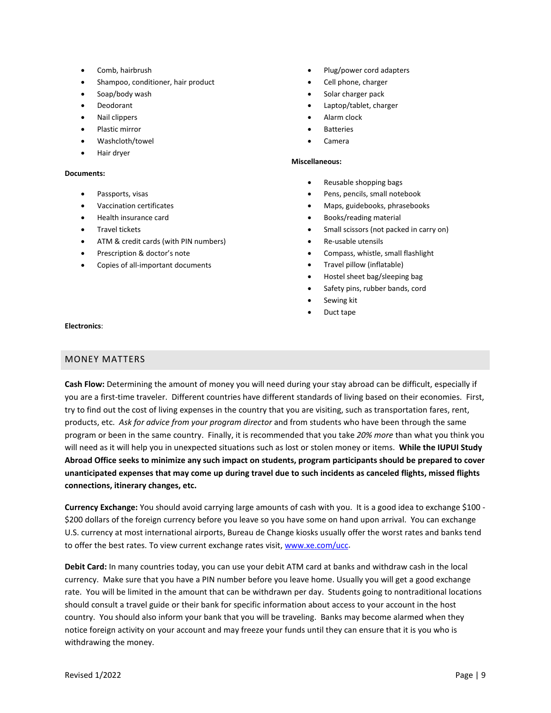- Comb, hairbrush
- Shampoo, conditioner, hair product
- Soap/body wash
- **Deodorant**
- Nail clippers
- Plastic mirror
- Washcloth/towel
- Hair dryer

#### **Documents:**

- Passports, visas
- Vaccination certificates
- Health insurance card
- Travel tickets
- ATM & credit cards (with PIN numbers)
- Prescription & doctor's note
- Copies of all-important documents
- Plug/power cord adapters
- Cell phone, charger
- Solar charger pack
- Laptop/tablet, charger
- Alarm clock
- **Batteries**
- Camera

#### **Miscellaneous:**

- Reusable shopping bags
- Pens, pencils, small notebook
- Maps, guidebooks, phrasebooks
- Books/reading material
- Small scissors (not packed in carry on)
- Re-usable utensils
- Compass, whistle, small flashlight
- Travel pillow (inflatable)
- Hostel sheet bag/sleeping bag
- Safety pins, rubber bands, cord
- Sewing kit
- Duct tape

#### **Electronics**:

# <span id="page-9-0"></span>MONEY MATTERS

**Cash Flow:** Determining the amount of money you will need during your stay abroad can be difficult, especially if you are a first-time traveler. Different countries have different standards of living based on their economies. First, try to find out the cost of living expenses in the country that you are visiting, such as transportation fares, rent, products, etc. *Ask for advice from your program director* and from students who have been through the same program or been in the same country. Finally, it is recommended that you take *20% more* than what you think you will need as it will help you in unexpected situations such as lost or stolen money or items. **While the IUPUI Study Abroad Office seeks to minimize any such impact on students, program participants should be prepared to cover unanticipated expenses that may come up during travel due to such incidents as canceled flights, missed flights connections, itinerary changes, etc.** 

**Currency Exchange:** You should avoid carrying large amounts of cash with you. It is a good idea to exchange \$100 - \$200 dollars of the foreign currency before you leave so you have some on hand upon arrival. You can exchange U.S. currency at most international airports, Bureau de Change kiosks usually offer the worst rates and banks tend to offer the best rates. To view current exchange rates visit, [www.xe.com/ucc.](http://www.xe.com/ucc/)

**Debit Card:** In many countries today, you can use your debit ATM card at banks and withdraw cash in the local currency. Make sure that you have a PIN number before you leave home. Usually you will get a good exchange rate. You will be limited in the amount that can be withdrawn per day. Students going to nontraditional locations should consult a travel guide or their bank for specific information about access to your account in the host country. You should also inform your bank that you will be traveling. Banks may become alarmed when they notice foreign activity on your account and may freeze your funds until they can ensure that it is you who is withdrawing the money.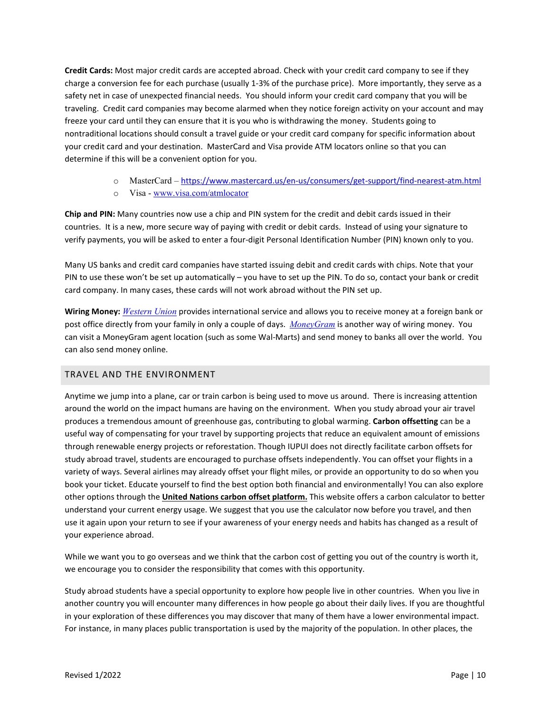**Credit Cards:** Most major credit cards are accepted abroad. Check with your credit card company to see if they charge a conversion fee for each purchase (usually 1-3% of the purchase price). More importantly, they serve as a safety net in case of unexpected financial needs. You should inform your credit card company that you will be traveling. Credit card companies may become alarmed when they notice foreign activity on your account and may freeze your card until they can ensure that it is you who is withdrawing the money. Students going to nontraditional locations should consult a travel guide or your credit card company for specific information about your credit card and your destination. MasterCard and Visa provide ATM locators online so that you can determine if this will be a convenient option for you.

- o MasterCard <https://www.mastercard.us/en-us/consumers/get-support/find-nearest-atm.html>
- o Visa [www.visa.com/atmlocator](http://www.visa.com/atmlocator)

**Chip and PIN:** Many countries now use a chip and PIN system for the credit and debit cards issued in their countries. It is a new, more secure way of paying with credit or debit cards. Instead of using your signature to verify payments, you will be asked to enter a four-digit Personal Identification Number (PIN) known only to you.

Many US banks and credit card companies have started issuing debit and credit cards with chips. Note that your PIN to use these won't be set up automatically – you have to set up the PIN. To do so, contact your bank or credit card company. In many cases, these cards will not work abroad without the PIN set up.

**Wiring Money:** *[Western Union](http://www.westernunion.com/)* provides international service and allows you to receive money at a foreign bank or post office directly from your family in only a couple of days. *[MoneyGram](http://www.moneygram.com/index.htm)* is another way of wiring money. You can visit a MoneyGram agent location (such as some Wal-Marts) and send money to banks all over the world. You can also send money online.

# <span id="page-10-0"></span>TRAVEL AND THE ENVIRONMENT

Anytime we jump into a plane, car or train carbon is being used to move us around. There is increasing attention around the world on the impact humans are having on the environment. When you study abroad your air travel produces a tremendous amount of greenhouse gas, contributing to global warming. **Carbon offsetting** can be a useful way of compensating for your travel by supporting projects that reduce an equivalent amount of emissions through renewable energy projects or reforestation. Though IUPUI does not directly facilitate carbon offsets for study abroad travel, students are encouraged to purchase offsets independently. You can offset your flights in a variety of ways. Several airlines may already offset your flight miles, or provide an opportunity to do so when you book your ticket. Educate yourself to find the best option both financial and environmentally! You can also explore other options through the **[United Nations carbon offset platform.](https://offset.climateneutralnow.org/)** This website offers a carbon calculator to better understand your current energy usage. We suggest that you use the calculator now before you travel, and then use it again upon your return to see if your awareness of your energy needs and habits has changed as a result of your experience abroad.

While we want you to go overseas and we think that the carbon cost of getting you out of the country is worth it, we encourage you to consider the responsibility that comes with this opportunity.

Study abroad students have a special opportunity to explore how people live in other countries. When you live in another country you will encounter many differences in how people go about their daily lives. If you are thoughtful in your exploration of these differences you may discover that many of them have a lower environmental impact. For instance, in many places public transportation is used by the majority of the population. In other places, the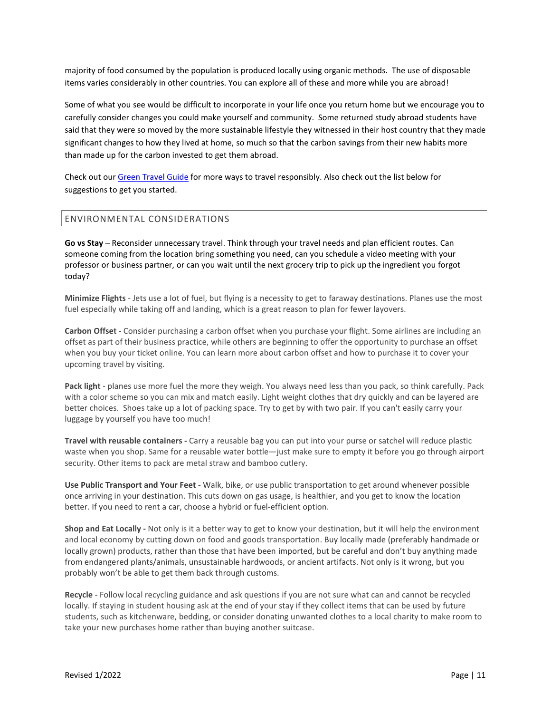majority of food consumed by the population is produced locally using organic methods. The use of disposable items varies considerably in other countries. You can explore all of these and more while you are abroad!

Some of what you see would be difficult to incorporate in your life once you return home but we encourage you to carefully consider changes you could make yourself and community. Some returned study abroad students have said that they were so moved by the more sustainable lifestyle they witnessed in their host country that they made significant changes to how they lived at home, so much so that the carbon savings from their new habits more than made up for the carbon invested to get them abroad.

Check out our [Green Travel Guide](https://sustainability.iupui.edu/resources/green-travel-guide.pdf) for more ways to travel responsibly. Also check out the list below for suggestions to get you started.

# <span id="page-11-0"></span>ENVIRONMENTAL CONSIDERATIONS

**Go vs Stay** – Reconsider unnecessary travel. Think through your travel needs and plan efficient routes. Can someone coming from the location bring something you need, can you schedule a video meeting with your professor or business partner, or can you wait until the next grocery trip to pick up the ingredient you forgot today?

**Minimize Flights** - Jets use a lot of fuel, but flying is a necessity to get to faraway destinations. Planes use the most fuel especially while taking off and landing, which is a great reason to plan for fewer layovers. 

**Carbon Offset** - Consider purchasing a carbon offset when you purchase your flight. Some airlines are including an offset as part of their business practice, while others are beginning to offer the opportunity to purchase an offset when you buy your ticket online. You can learn more about carbon offset and how to purchase it to cover your upcoming travel by visiting.

**Pack light** - planes use more fuel the more they weigh. You always need less than you pack, so think carefully. Pack with a color scheme so you can mix and match easily. Light weight clothes that dry quickly and can be layered are better choices.  Shoes take up a lot of packing space. Try to get by with two pair. If you can't easily carry your luggage by yourself you have too much!

**Travel with reusable containers -** Carry a reusable bag you can put into your purse or satchel will reduce plastic waste when you shop. Same for a reusable water bottle—just make sure to empty it before you go through airport security. Other items to pack are metal straw and bamboo cutlery.

**Use Public Transport and Your Feet** - Walk, bike, or use public transportation to get around whenever possible once arriving in your destination. This cuts down on gas usage, is healthier, and you get to know the location better. If you need to rent a car, choose a hybrid or fuel-efficient option.

**Shop and Eat Locally -** Not only is it a better way to get to know your destination, but it will help the environment and local economy by cutting down on food and goods transportation. Buy locally made (preferably handmade or locally grown) products, rather than those that have been imported, but be careful and don't buy anything made from endangered plants/animals, unsustainable hardwoods, or ancient artifacts. Not only is it wrong, but you probably won't be able to get them back through customs.

**Recycle** - Follow local recycling guidance and ask questions if you are not sure what can and cannot be recycled locally. If staying in student housing ask at the end of your stay if they collect items that can be used by future students, such as kitchenware, bedding, or consider donating unwanted clothes to a local charity to make room to take your new purchases home rather than buying another suitcase.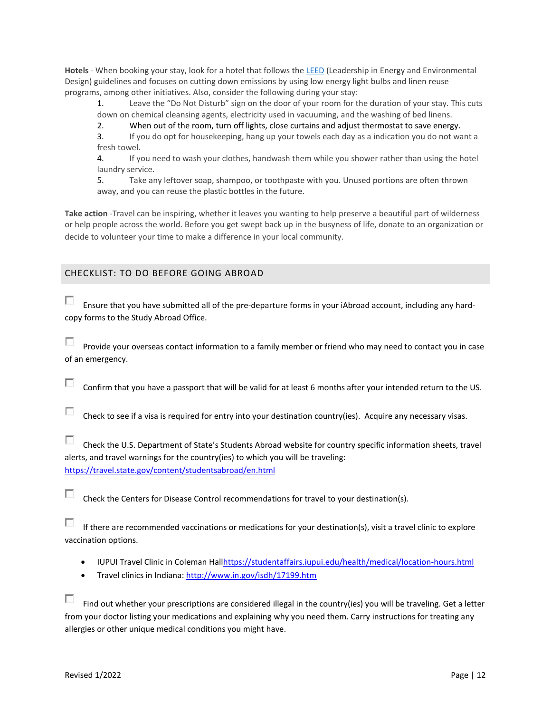**Hotels** - When booking your stay, look for a hotel that follows the [LEED](https://www.usgbc.org/leed) (Leadership in Energy and Environmental Design) guidelines and focuses on cutting down emissions by using low energy light bulbs and linen reuse programs, among other initiatives. Also, consider the following during your stay:

1. Leave the "Do Not Disturb" sign on the door of your room for the duration of your stay. This cuts down on chemical cleansing agents, electricity used in vacuuming, and the washing of bed linens. 

2. When out of the room, turn off lights, close curtains and adjust thermostat to save energy.

3. If you do opt for housekeeping, hang up your towels each day as a indication you do not want a fresh towel. 

4. If you need to wash your clothes, handwash them while you shower rather than using the hotel laundry service. 

5. Take any leftover soap, shampoo, or toothpaste with you. Unused portions are often thrown away, and you can reuse the plastic bottles in the future.

**Take action** -Travel can be inspiring, whether it leaves you wanting to help preserve a beautiful part of wilderness or help people across the world. Before you get swept back up in the busyness of life, donate to an organization or decide to volunteer your time to make a difference in your local community.

# <span id="page-12-0"></span>CHECKLIST: TO DO BEFORE GOING ABROAD

 $\sim$ Ensure that you have submitted all of the pre-departure forms in your iAbroad account, including any hardcopy forms to the Study Abroad Office.

**FRI** Provide your overseas contact information to a family member or friend who may need to contact you in case of an emergency.

55 Confirm that you have a passport that will be valid for at least 6 months after your intended return to the US.

E Check to see if a visa is required for entry into your destination country(ies). Acquire any necessary visas.

 $\overline{\mathcal{L}_{\mathcal{M}}}$ Check the U.S. Department of State's Students Abroad website for country specific information sheets, travel alerts, and travel warnings for the country(ies) to which you will be traveling: <https://travel.state.gov/content/studentsabroad/en.html>

п Check the Centers for Disease Control recommendations for travel to your destination(s).

 $\mathcal{E}^{\mathcal{E}}$ If there are recommended vaccinations or medications for your destination(s), visit a travel clinic to explore vaccination options.

- IUPUI Travel Clinic in Coleman Hal[lhttps://studentaffairs.iupui.edu/health/medical/location-hours.html](https://studentaffairs.iupui.edu/health/medical/location-hours.html)
- Travel clinics in Indiana:<http://www.in.gov/isdh/17199.htm>

П Find out whether your prescriptions are considered illegal in the country(ies) you will be traveling. Get a letter from your doctor listing your medications and explaining why you need them. Carry instructions for treating any allergies or other unique medical conditions you might have.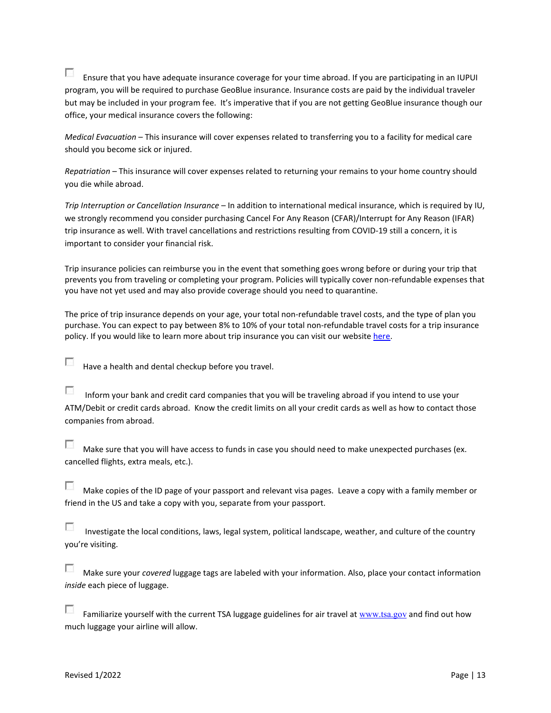5 Ensure that you have adequate insurance coverage for your time abroad. If you are participating in an IUPUI program, you will be required to purchase GeoBlue insurance. Insurance costs are paid by the individual traveler but may be included in your program fee. It's imperative that if you are not getting GeoBlue insurance though our office, your medical insurance covers the following:

*Medical Evacuation* – This insurance will cover expenses related to transferring you to a facility for medical care should you become sick or injured.

*Repatriation* – This insurance will cover expenses related to returning your remains to your home country should you die while abroad.

*Trip Interruption or Cancellation Insurance* – In addition to international medical insurance, which is required by IU, we strongly recommend you consider purchasing Cancel For Any Reason (CFAR)/Interrupt for Any Reason (IFAR) trip insurance as well. With travel cancellations and restrictions resulting from COVID-19 still a concern, it is important to consider your financial risk.

Trip insurance policies can reimburse you in the event that something goes wrong before or during your trip that prevents you from traveling or completing your program. Policies will typically cover non-refundable expenses that you have not yet used and may also provide coverage should you need to quarantine.

The price of trip insurance depends on your age, your total non-refundable travel costs, and the type of plan you purchase. You can expect to pay between 8% to 10% of your total non-refundable travel costs for a trip insurance policy. If you would like to learn more about trip insurance you can visit our website [here.](https://abroad.iupui.edu/departure/insurance.html)

**Co** Have a health and dental checkup before you travel.

F Inform your bank and credit card companies that you will be traveling abroad if you intend to use your ATM/Debit or credit cards abroad. Know the credit limits on all your credit cards as well as how to contact those companies from abroad.

55 Make sure that you will have access to funds in case you should need to make unexpected purchases (ex. cancelled flights, extra meals, etc.).

**Co** Make copies of the ID page of your passport and relevant visa pages. Leave a copy with a family member or friend in the US and take a copy with you, separate from your passport.

F Investigate the local conditions, laws, legal system, political landscape, weather, and culture of the country you're visiting.

5 Make sure your *covered* luggage tags are labeled with your information. Also, place your contact information *inside* each piece of luggage.

Đ. Familiarize yourself with the current TSA luggage guidelines for air travel at [www.tsa.gov](http://www.tsa.gov/) and find out how much luggage your airline will allow.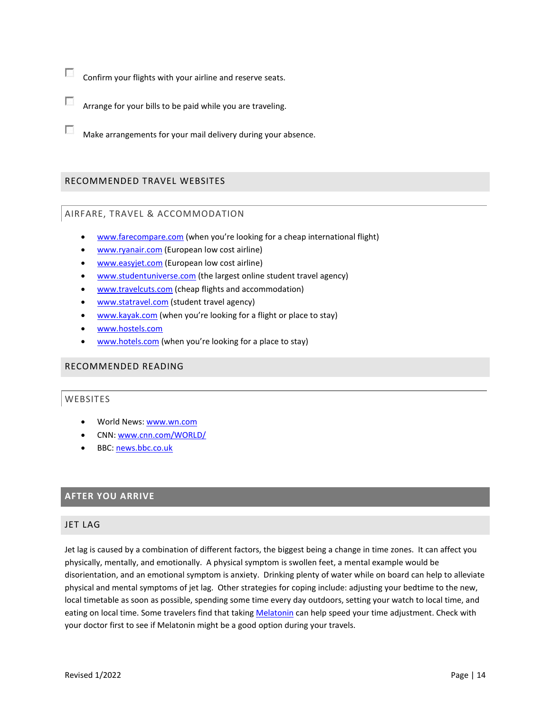- Confirm your flights with your airline and reserve seats.
- 53 Arrange for your bills to be paid while you are traveling.
- 55 Make arrangements for your mail delivery during your absence.

# <span id="page-14-1"></span><span id="page-14-0"></span>RECOMMENDED TRAVEL WEBSITES

#### AIRFARE, TRAVEL & ACCOMMODATION

- [www.farecompare.com](http://www.farecompare.com/) (when you're looking for a cheap international flight)
- [www.ryanair.com](http://www.ryanair.com/) (European low cost airline)
- [www.easyjet.com](http://www.easyjet.com/) (European low cost airline)
- [www.studentuniverse.com](http://www.studentuniverse.com/) (the largest online student travel agency)
- [www.travelcuts.com](http://www.travelcuts.com/) (cheap flights and accommodation)
- [www.statravel.com](http://www.statravel.com/) (student travel agency)
- [www.kayak.com](http://www.kayak.com/) (when you're looking for a flight or place to stay)
- [www.hostels.com](http://www.hostels.com/)
- [www.hotels.com](http://www.hotels.com/) (when you're looking for a place to stay)

#### <span id="page-14-3"></span><span id="page-14-2"></span>RECOMMENDED READING

#### WEBSITES

- World News: [www.wn.com](http://www.wn.com/)
- CNN: [www.cnn.com/WORLD/](http://www.cnn.com/WORLD/)
- BBC: [news.bbc.co.uk](http://news.bbc.co.uk/)

# <span id="page-14-4"></span>**AFTER YOU ARRIVE**

#### <span id="page-14-5"></span>JET LAG

Jet lag is caused by a combination of different factors, the biggest being a change in time zones. It can affect you physically, mentally, and emotionally. A physical symptom is swollen feet, a mental example would be disorientation, and an emotional symptom is anxiety. Drinking plenty of water while on board can help to alleviate physical and mental symptoms of jet lag. Other strategies for coping include: adjusting your bedtime to the new, local timetable as soon as possible, spending some time every day outdoors, setting your watch to local time, and eating on local time. Some travelers find that takin[g Melatonin](https://www.healthline.com/health/melatonin-for-jet-lag) can help speed your time adjustment. Check with your doctor first to see if Melatonin might be a good option during your travels.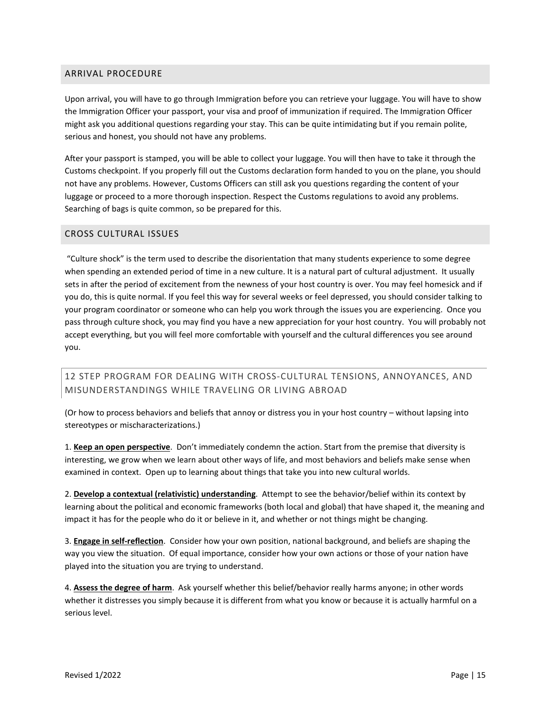# <span id="page-15-0"></span>ARRIVAL PROCEDURE

Upon arrival, you will have to go through Immigration before you can retrieve your luggage. You will have to show the Immigration Officer your passport, your visa and proof of immunization if required. The Immigration Officer might ask you additional questions regarding your stay. This can be quite intimidating but if you remain polite, serious and honest, you should not have any problems.

After your passport is stamped, you will be able to collect your luggage. You will then have to take it through the Customs checkpoint. If you properly fill out the Customs declaration form handed to you on the plane, you should not have any problems. However, Customs Officers can still ask you questions regarding the content of your luggage or proceed to a more thorough inspection. Respect the Customs regulations to avoid any problems. Searching of bags is quite common, so be prepared for this.

# <span id="page-15-1"></span>CROSS CULTURAL ISSUES

"Culture shock" is the term used to describe the disorientation that many students experience to some degree when spending an extended period of time in a new culture. It is a natural part of cultural adjustment. It usually sets in after the period of excitement from the newness of your host country is over. You may feel homesick and if you do, this is quite normal. If you feel this way for several weeks or feel depressed, you should consider talking to your program coordinator or someone who can help you work through the issues you are experiencing. Once you pass through culture shock, you may find you have a new appreciation for your host country. You will probably not accept everything, but you will feel more comfortable with yourself and the cultural differences you see around you.

# <span id="page-15-2"></span>12 STEP PROGRAM FOR DEALING WITH CROSS-CULTURAL TENSIONS, ANNOYANCES, AND MISUNDERSTANDINGS WHILE TRAVELING OR LIVING ABROAD

(Or how to process behaviors and beliefs that annoy or distress you in your host country – without lapsing into stereotypes or mischaracterizations.)

1. **Keep an open perspective**. Don't immediately condemn the action. Start from the premise that diversity is interesting, we grow when we learn about other ways of life, and most behaviors and beliefs make sense when examined in context. Open up to learning about things that take you into new cultural worlds.

2. **Develop a contextual (relativistic) understanding**. Attempt to see the behavior/belief within its context by learning about the political and economic frameworks (both local and global) that have shaped it, the meaning and impact it has for the people who do it or believe in it, and whether or not things might be changing.

3. **Engage in self-reflection**. Consider how your own position, national background, and beliefs are shaping the way you view the situation. Of equal importance, consider how your own actions or those of your nation have played into the situation you are trying to understand.

4. **Assess the degree of harm**. Ask yourself whether this belief/behavior really harms anyone; in other words whether it distresses you simply because it is different from what you know or because it is actually harmful on a serious level.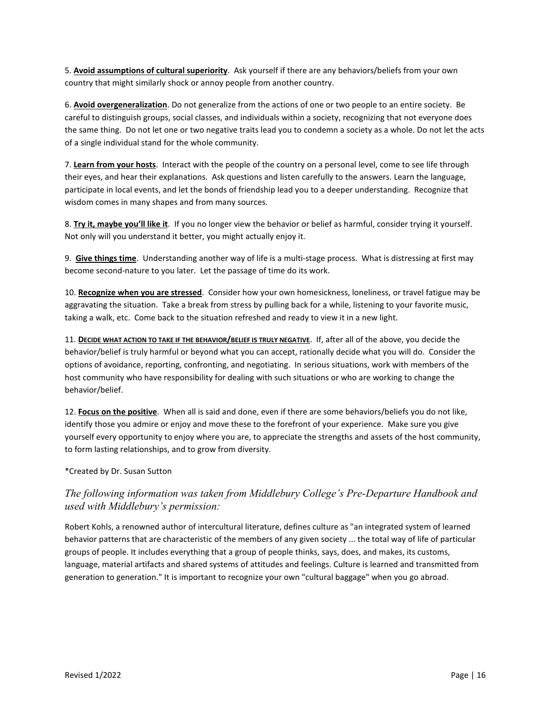5. **Avoid assumptions of cultural superiority**. Ask yourself if there are any behaviors/beliefs from your own country that might similarly shock or annoy people from another country.

6. **Avoid overgeneralization**. Do not generalize from the actions of one or two people to an entire society. Be careful to distinguish groups, social classes, and individuals within a society, recognizing that not everyone does the same thing. Do not let one or two negative traits lead you to condemn a society as a whole. Do not let the acts of a single individual stand for the whole community.

7. **Learn from your hosts**. Interact with the people of the country on a personal level, come to see life through their eyes, and hear their explanations. Ask questions and listen carefully to the answers. Learn the language, participate in local events, and let the bonds of friendship lead you to a deeper understanding. Recognize that wisdom comes in many shapes and from many sources.

8. **Try it, maybe you'll like it**. If you no longer view the behavior or belief as harmful, consider trying it yourself. Not only will you understand it better, you might actually enjoy it.

9. **Give things time**. Understanding another way of life is a multi-stage process. What is distressing at first may become second-nature to you later. Let the passage of time do its work.

10. **Recognize when you are stressed**. Consider how your own homesickness, loneliness, or travel fatigue may be aggravating the situation. Take a break from stress by pulling back for a while, listening to your favorite music, taking a walk, etc. Come back to the situation refreshed and ready to view it in a new light.

11. **DECIDE WHAT ACTION TO TAKE IF THE BEHAVIOR/BELIEF IS TRULY NEGATIVE**. If, after all of the above, you decide the behavior/belief is truly harmful or beyond what you can accept, rationally decide what you will do. Consider the options of avoidance, reporting, confronting, and negotiating. In serious situations, work with members of the host community who have responsibility for dealing with such situations or who are working to change the behavior/belief.

12. **Focus on the positive**. When all is said and done, even if there are some behaviors/beliefs you do not like, identify those you admire or enjoy and move these to the forefront of your experience. Make sure you give yourself every opportunity to enjoy where you are, to appreciate the strengths and assets of the host community, to form lasting relationships, and to grow from diversity.

# \*Created by Dr. Susan Sutton

# *The following information was taken from Middlebury College's Pre-Departure Handbook and used with Middlebury's permission:*

Robert Kohls, a renowned author of intercultural literature, defines culture as "an integrated system of learned behavior patterns that are characteristic of the members of any given society ... the total way of life of particular groups of people. It includes everything that a group of people thinks, says, does, and makes, its customs, language, material artifacts and shared systems of attitudes and feelings. Culture is learned and transmitted from generation to generation." It is important to recognize your own "cultural baggage" when you go abroad.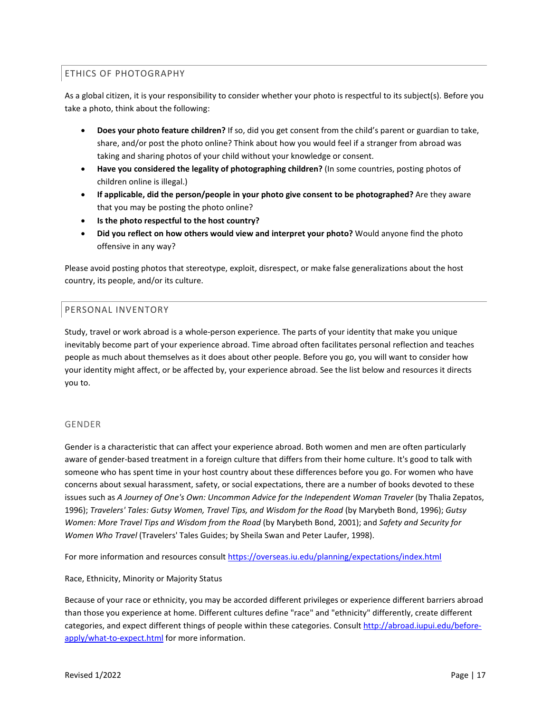# <span id="page-17-0"></span>ETHICS OF PHOTOGRAPHY

As a global citizen, it is your responsibility to consider whether your photo is respectful to its subject(s). Before you take a photo, think about the following:

- **Does your photo feature children?** If so, did you get consent from the child's parent or guardian to take, share, and/or post the photo online? Think about how you would feel if a stranger from abroad was taking and sharing photos of your child without your knowledge or consent.
- **Have you considered the legality of photographing children?** (In some countries, posting photos of children online is illegal.)
- **If applicable, did the person/people in your photo give consent to be photographed?** Are they aware that you may be posting the photo online?
- **Is the photo respectful to the host country?**
- **Did you reflect on how others would view and interpret your photo?** Would anyone find the photo offensive in any way?

Please avoid posting photos that stereotype, exploit, disrespect, or make false generalizations about the host country, its people, and/or its culture.

# <span id="page-17-1"></span>PERSONAL INVENTORY

Study, travel or work abroad is a whole-person experience. The parts of your identity that make you unique inevitably become part of your experience abroad. Time abroad often facilitates personal reflection and teaches people as much about themselves as it does about other people. Before you go, you will want to consider how your identity might affect, or be affected by, your experience abroad. See the list below and resources it directs you to.

# GENDER

Gender is a characteristic that can affect your experience abroad. Both women and men are often particularly aware of gender-based treatment in a foreign culture that differs from their home culture. It's good to talk with someone who has spent time in your host country about these differences before you go. For women who have concerns about sexual harassment, safety, or social expectations, there are a number of books devoted to these issues such as *A Journey of One's Own: Uncommon Advice for the Independent Woman Traveler* (by Thalia Zepatos, 1996); *Travelers' Tales: Gutsy Women, Travel Tips, and Wisdom for the Road* (by Marybeth Bond, 1996); *Gutsy Women: More Travel Tips and Wisdom from the Road* (by Marybeth Bond, 2001); and *Safety and Security for Women Who Travel* (Travelers' Tales Guides; by Sheila Swan and Peter Laufer, 1998).

For more information and resources consul[t https://overseas.iu.edu/planning/expectations/index.html](https://overseas.iu.edu/planning/expectations/index.html)

Race, Ethnicity, Minority or Majority Status

Because of your race or ethnicity, you may be accorded different privileges or experience different barriers abroad than those you experience at home. Different cultures define "race" and "ethnicity" differently, create different categories, and expect different things of people within these categories. Consult [http://abroad.iupui.edu/before](http://abroad.iupui.edu/before-apply/what-to-expect.html)[apply/what-to-expect.html](http://abroad.iupui.edu/before-apply/what-to-expect.html) for more information.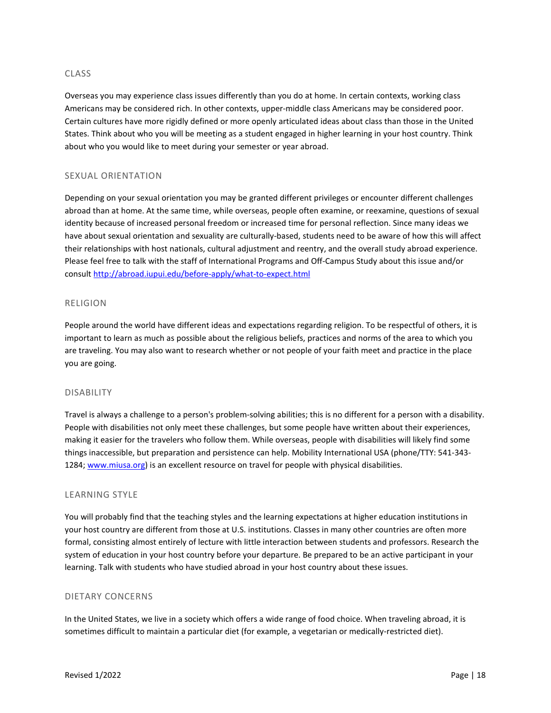# CLASS

Overseas you may experience class issues differently than you do at home. In certain contexts, working class Americans may be considered rich. In other contexts, upper-middle class Americans may be considered poor. Certain cultures have more rigidly defined or more openly articulated ideas about class than those in the United States. Think about who you will be meeting as a student engaged in higher learning in your host country. Think about who you would like to meet during your semester or year abroad.

# SEXUAL ORIENTATION

Depending on your sexual orientation you may be granted different privileges or encounter different challenges abroad than at home. At the same time, while overseas, people often examine, or reexamine, questions of sexual identity because of increased personal freedom or increased time for personal reflection. Since many ideas we have about sexual orientation and sexuality are culturally-based, students need to be aware of how this will affect their relationships with host nationals, cultural adjustment and reentry, and the overall study abroad experience. Please feel free to talk with the staff of International Programs and Off-Campus Study about this issue and/or consult <http://abroad.iupui.edu/before-apply/what-to-expect.html>

# RELIGION

People around the world have different ideas and expectations regarding religion. To be respectful of others, it is important to learn as much as possible about the religious beliefs, practices and norms of the area to which you are traveling. You may also want to research whether or not people of your faith meet and practice in the place you are going.

#### DISABILITY

Travel is always a challenge to a person's problem-solving abilities; this is no different for a person with a disability. People with disabilities not only meet these challenges, but some people have written about their experiences, making it easier for the travelers who follow them. While overseas, people with disabilities will likely find some things inaccessible, but preparation and persistence can help. Mobility International USA (phone/TTY: 541-343 1284; [www.miusa.org\)](http://www.miusa.org/) is an excellent resource on travel for people with physical disabilities.

#### LEARNING STYLE

You will probably find that the teaching styles and the learning expectations at higher education institutions in your host country are different from those at U.S. institutions. Classes in many other countries are often more formal, consisting almost entirely of lecture with little interaction between students and professors. Research the system of education in your host country before your departure. Be prepared to be an active participant in your learning. Talk with students who have studied abroad in your host country about these issues.

# DIETARY CONCERNS

In the United States, we live in a society which offers a wide range of food choice. When traveling abroad, it is sometimes difficult to maintain a particular diet (for example, a vegetarian or medically-restricted diet).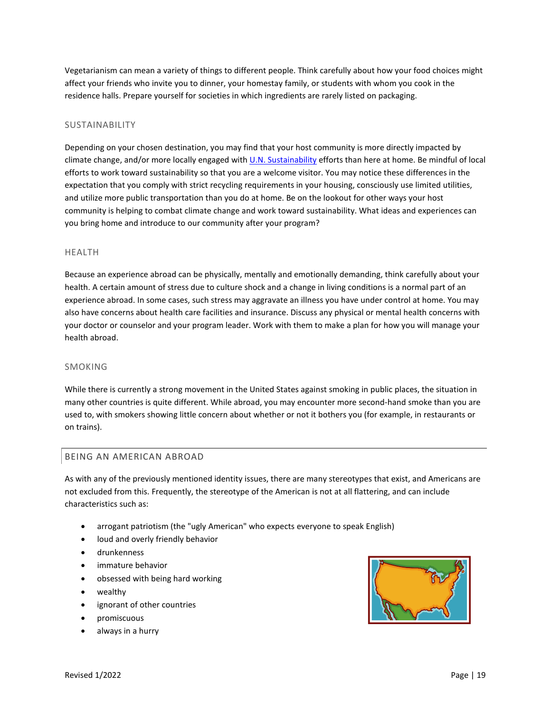Vegetarianism can mean a variety of things to different people. Think carefully about how your food choices might affect your friends who invite you to dinner, your homestay family, or students with whom you cook in the residence halls. Prepare yourself for societies in which ingredients are rarely listed on packaging.

# SUSTAINABILITY

Depending on your chosen destination, you may find that your host community is more directly impacted by climate change, and/or more locally engaged wit[h U.N. Sustainability](https://sdgs.un.org/goals) efforts than here at home. Be mindful of local efforts to work toward sustainability so that you are a welcome visitor. You may notice these differences in the expectation that you comply with strict recycling requirements in your housing, consciously use limited utilities, and utilize more public transportation than you do at home. Be on the lookout for other ways your host community is helping to combat climate change and work toward sustainability. What ideas and experiences can you bring home and introduce to our community after your program?

# HEALTH

Because an experience abroad can be physically, mentally and emotionally demanding, think carefully about your health. A certain amount of stress due to culture shock and a change in living conditions is a normal part of an experience abroad. In some cases, such stress may aggravate an illness you have under control at home. You may also have concerns about health care facilities and insurance. Discuss any physical or mental health concerns with your doctor or counselor and your program leader. Work with them to make a plan for how you will manage your health abroad.

# SMOKING

While there is currently a strong movement in the United States against smoking in public places, the situation in many other countries is quite different. While abroad, you may encounter more second-hand smoke than you are used to, with smokers showing little concern about whether or not it bothers you (for example, in restaurants or on trains).

# <span id="page-19-0"></span>BEING AN AMERICAN ABROAD

As with any of the previously mentioned identity issues, there are many stereotypes that exist, and Americans are not excluded from this. Frequently, the stereotype of the American is not at all flattering, and can include characteristics such as:

- arrogant patriotism (the "ugly American" who expects everyone to speak English)
- loud and overly friendly behavior
- drunkenness
- immature behavior
- obsessed with being hard working
- wealthy
- ignorant of other countries
- promiscuous
- always in a hurry

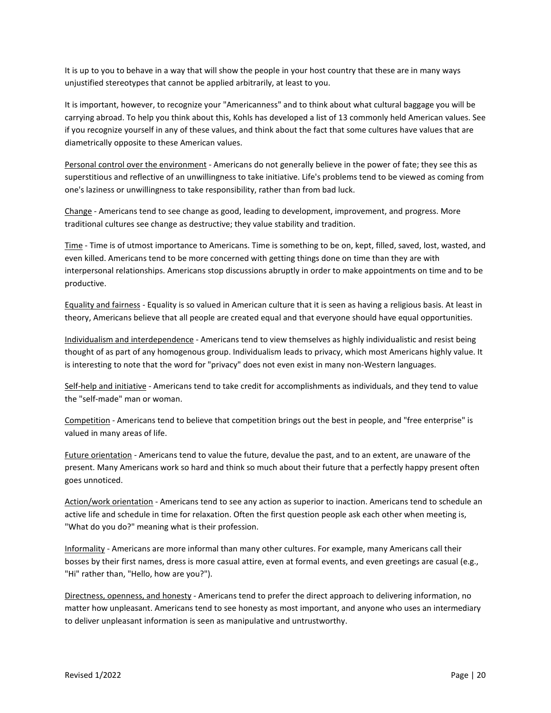It is up to you to behave in a way that will show the people in your host country that these are in many ways unjustified stereotypes that cannot be applied arbitrarily, at least to you.

It is important, however, to recognize your "Americanness" and to think about what cultural baggage you will be carrying abroad. To help you think about this, Kohls has developed a list of 13 commonly held American values. See if you recognize yourself in any of these values, and think about the fact that some cultures have values that are diametrically opposite to these American values.

Personal control over the environment - Americans do not generally believe in the power of fate; they see this as superstitious and reflective of an unwillingness to take initiative. Life's problems tend to be viewed as coming from one's laziness or unwillingness to take responsibility, rather than from bad luck.

Change - Americans tend to see change as good, leading to development, improvement, and progress. More traditional cultures see change as destructive; they value stability and tradition.

Time - Time is of utmost importance to Americans. Time is something to be on, kept, filled, saved, lost, wasted, and even killed. Americans tend to be more concerned with getting things done on time than they are with interpersonal relationships. Americans stop discussions abruptly in order to make appointments on time and to be productive.

Equality and fairness - Equality is so valued in American culture that it is seen as having a religious basis. At least in theory, Americans believe that all people are created equal and that everyone should have equal opportunities.

Individualism and interdependence - Americans tend to view themselves as highly individualistic and resist being thought of as part of any homogenous group. Individualism leads to privacy, which most Americans highly value. It is interesting to note that the word for "privacy" does not even exist in many non-Western languages.

Self-help and initiative - Americans tend to take credit for accomplishments as individuals, and they tend to value the "self-made" man or woman.

Competition - Americans tend to believe that competition brings out the best in people, and "free enterprise" is valued in many areas of life.

Future orientation - Americans tend to value the future, devalue the past, and to an extent, are unaware of the present. Many Americans work so hard and think so much about their future that a perfectly happy present often goes unnoticed.

Action/work orientation - Americans tend to see any action as superior to inaction. Americans tend to schedule an active life and schedule in time for relaxation. Often the first question people ask each other when meeting is, "What do you do?" meaning what is their profession.

Informality - Americans are more informal than many other cultures. For example, many Americans call their bosses by their first names, dress is more casual attire, even at formal events, and even greetings are casual (e.g., "Hi" rather than, "Hello, how are you?").

Directness, openness, and honesty - Americans tend to prefer the direct approach to delivering information, no matter how unpleasant. Americans tend to see honesty as most important, and anyone who uses an intermediary to deliver unpleasant information is seen as manipulative and untrustworthy.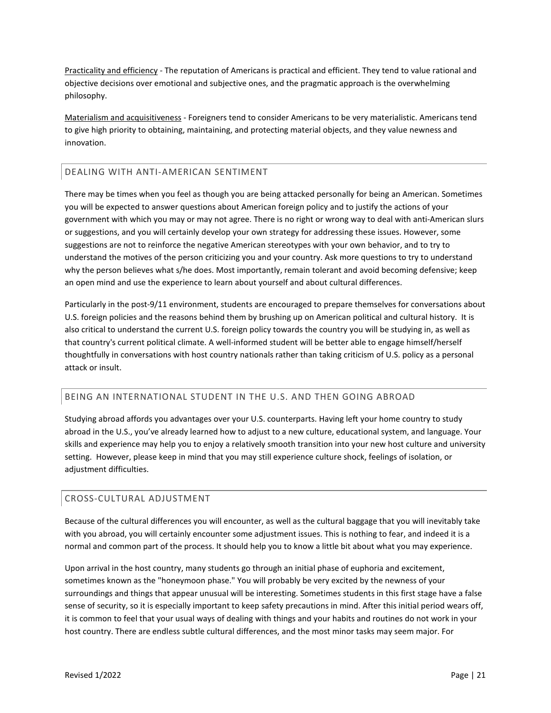Practicality and efficiency - The reputation of Americans is practical and efficient. They tend to value rational and objective decisions over emotional and subjective ones, and the pragmatic approach is the overwhelming philosophy.

Materialism and acquisitiveness - Foreigners tend to consider Americans to be very materialistic. Americans tend to give high priority to obtaining, maintaining, and protecting material objects, and they value newness and innovation.

# <span id="page-21-0"></span>DEALING WITH ANTI-AMERICAN SENTIMENT

There may be times when you feel as though you are being attacked personally for being an American. Sometimes you will be expected to answer questions about American foreign policy and to justify the actions of your government with which you may or may not agree. There is no right or wrong way to deal with anti-American slurs or suggestions, and you will certainly develop your own strategy for addressing these issues. However, some suggestions are not to reinforce the negative American stereotypes with your own behavior, and to try to understand the motives of the person criticizing you and your country. Ask more questions to try to understand why the person believes what s/he does. Most importantly, remain tolerant and avoid becoming defensive; keep an open mind and use the experience to learn about yourself and about cultural differences.

Particularly in the post-9/11 environment, students are encouraged to prepare themselves for conversations about U.S. foreign policies and the reasons behind them by brushing up on American political and cultural history. It is also critical to understand the current U.S. foreign policy towards the country you will be studying in, as well as that country's current political climate. A well-informed student will be better able to engage himself/herself thoughtfully in conversations with host country nationals rather than taking criticism of U.S. policy as a personal attack or insult.

# <span id="page-21-1"></span>BEING AN INTERNATIONAL STUDENT IN THE U.S. AND THEN GOING ABROAD

Studying abroad affords you advantages over your U.S. counterparts. Having left your home country to study abroad in the U.S., you've already learned how to adjust to a new culture, educational system, and language. Your skills and experience may help you to enjoy a relatively smooth transition into your new host culture and university setting. However, please keep in mind that you may still experience culture shock, feelings of isolation, or adjustment difficulties.

# <span id="page-21-2"></span>CROSS-CULTURAL ADJUSTMENT

Because of the cultural differences you will encounter, as well as the cultural baggage that you will inevitably take with you abroad, you will certainly encounter some adjustment issues. This is nothing to fear, and indeed it is a normal and common part of the process. It should help you to know a little bit about what you may experience.

Upon arrival in the host country, many students go through an initial phase of euphoria and excitement, sometimes known as the "honeymoon phase." You will probably be very excited by the newness of your surroundings and things that appear unusual will be interesting. Sometimes students in this first stage have a false sense of security, so it is especially important to keep safety precautions in mind. After this initial period wears off, it is common to feel that your usual ways of dealing with things and your habits and routines do not work in your host country. There are endless subtle cultural differences, and the most minor tasks may seem major. For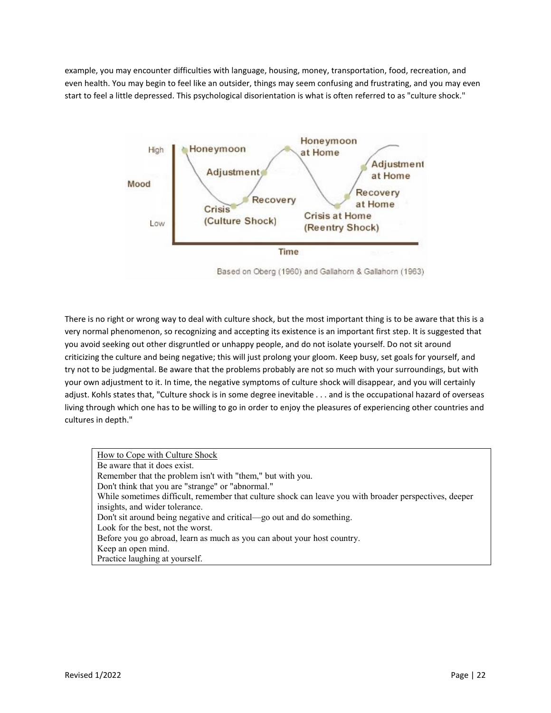example, you may encounter difficulties with language, housing, money, transportation, food, recreation, and even health. You may begin to feel like an outsider, things may seem confusing and frustrating, and you may even start to feel a little depressed. This psychological disorientation is what is often referred to as "culture shock."



Based on Oberg (1960) and Gallahorn & Gallahorn (1963)

There is no right or wrong way to deal with culture shock, but the most important thing is to be aware that this is a very normal phenomenon, so recognizing and accepting its existence is an important first step. It is suggested that you avoid seeking out other disgruntled or unhappy people, and do not isolate yourself. Do not sit around criticizing the culture and being negative; this will just prolong your gloom. Keep busy, set goals for yourself, and try not to be judgmental. Be aware that the problems probably are not so much with your surroundings, but with your own adjustment to it. In time, the negative symptoms of culture shock will disappear, and you will certainly adjust. Kohls states that, "Culture shock is in some degree inevitable . . . and is the occupational hazard of overseas living through which one has to be willing to go in order to enjoy the pleasures of experiencing other countries and cultures in depth."

How to Cope with Culture Shock Be aware that it does exist. Remember that the problem isn't with "them," but with you. Don't think that you are "strange" or "abnormal." While sometimes difficult, remember that culture shock can leave you with broader perspectives, deeper insights, and wider tolerance. Don't sit around being negative and critical—go out and do something. Look for the best, not the worst. Before you go abroad, learn as much as you can about your host country. Keep an open mind. Practice laughing at yourself.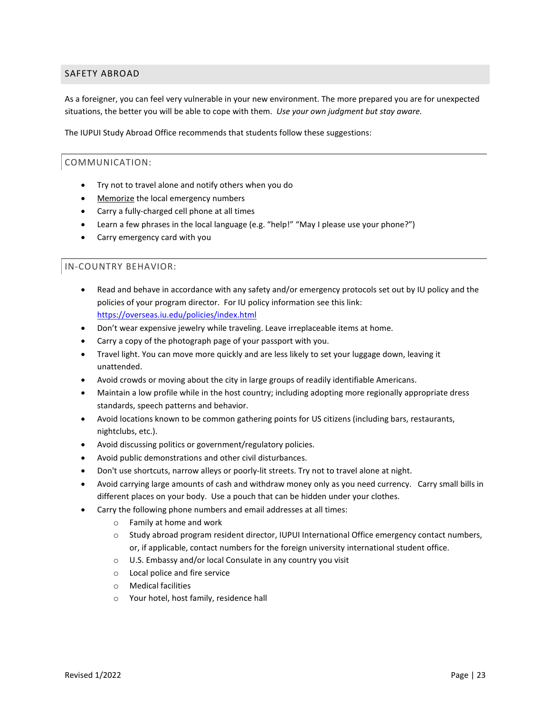# <span id="page-23-0"></span>SAFETY ABROAD

As a foreigner, you can feel very vulnerable in your new environment. The more prepared you are for unexpected situations, the better you will be able to cope with them. *Use your own judgment but stay aware.*

The IUPUI Study Abroad Office recommends that students follow these suggestions:

# <span id="page-23-1"></span>COMMUNICATION:

- Try not to travel alone and notify others when you do
- Memorize the local emergency numbers
- Carry a fully-charged cell phone at all times
- Learn a few phrases in the local language (e.g. "help!" "May I please use your phone?")
- Carry emergency card with you

# <span id="page-23-2"></span>IN-COUNTRY BEHAVIOR:

- Read and behave in accordance with any safety and/or emergency protocols set out by IU policy and the policies of your program director. For IU policy information see this link: https://overseas.iu.edu/policies/index.html
- Don't wear expensive jewelry while traveling. Leave irreplaceable items at home.
- Carry a copy of the photograph page of your passport with you.
- Travel light. You can move more quickly and are less likely to set your luggage down, leaving it unattended.
- Avoid crowds or moving about the city in large groups of readily identifiable Americans.
- Maintain a low profile while in the host country; including adopting more regionally appropriate dress standards, speech patterns and behavior.
- Avoid locations known to be common gathering points for US citizens (including bars, restaurants, nightclubs, etc.).
- Avoid discussing politics or government/regulatory policies.
- Avoid public demonstrations and other civil disturbances.
- Don't use shortcuts, narrow alleys or poorly-lit streets. Try not to travel alone at night.
- Avoid carrying large amounts of cash and withdraw money only as you need currency. Carry small bills in different places on your body. Use a pouch that can be hidden under your clothes.
- Carry the following phone numbers and email addresses at all times:
	- o Family at home and work
	- o Study abroad program resident director, IUPUI International Office emergency contact numbers, or, if applicable, contact numbers for the foreign university international student office.
	- o U.S. Embassy and/or local Consulate in any country you visit
	- o Local police and fire service
	- o Medical facilities
	- o Your hotel, host family, residence hall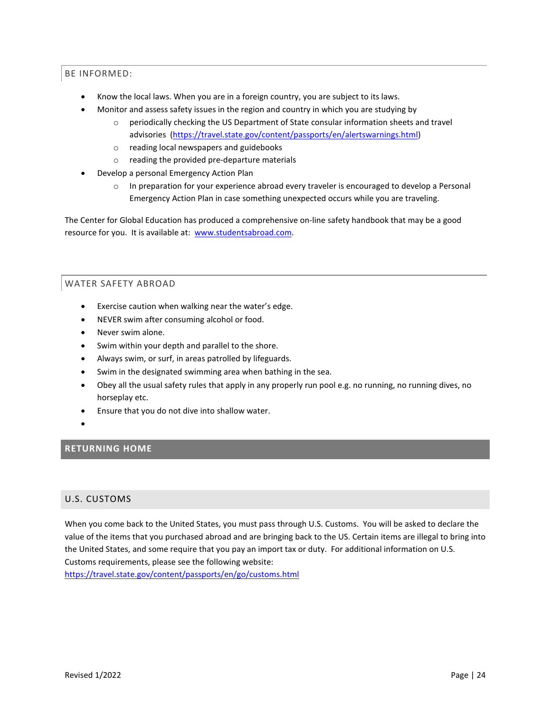# <span id="page-24-0"></span>BE INFORMED:

- Know the local laws. When you are in a foreign country, you are subject to its laws.
- Monitor and assess safety issues in the region and country in which you are studying by
	- o periodically checking the [US Department of State consular information sheets and travel](http://www.travel.state.gov/)  [advisories](http://www.travel.state.gov/) [\(https://travel.state.gov/content/passports/en/alertswarnings.html\)](https://travel.state.gov/content/passports/en/alertswarnings.html)
	- o reading local [newspapers](http://newslink.org/) and [guidebooks](http://www.travel.roughguides.com/default.html)
	- o reading the provided pre-departure materials
- Develop a personal Emergency Action Plan
	- $\circ$  In preparation for your experience abroad every traveler is encouraged to develop a Personal Emergency Action Plan in case something unexpected occurs while you are traveling.

The Center for Global Education has produced a comprehensive on-line safety handbook that may be a good resource for you. It is available at: [www.studentsabroad.com.](http://www.studentsabroad.com/)

# <span id="page-24-1"></span>WATER SAFETY ABROAD

- Exercise caution when walking near the water's edge.
- NEVER swim after consuming alcohol or food.
- Never swim alone.
- Swim within your depth and parallel to the shore.
- Always swim, or surf, in areas patrolled by lifeguards.
- Swim in the designated swimming area when bathing in the sea.
- Obey all the usual safety rules that apply in any properly run pool e.g. no running, no running dives, no horseplay etc.
- Ensure that you do not dive into shallow water.
- •

# <span id="page-24-2"></span>**RETURNING HOME**

# <span id="page-24-3"></span>U.S. CUSTOMS

When you come back to the United States, you must pass through U.S. Customs. You will be asked to declare the value of the items that you purchased abroad and are bringing back to the US. Certain items are illegal to bring into the United States, and some require that you pay an import tax or duty. For additional information on U.S. Customs requirements, please see the following website:

<https://travel.state.gov/content/passports/en/go/customs.html>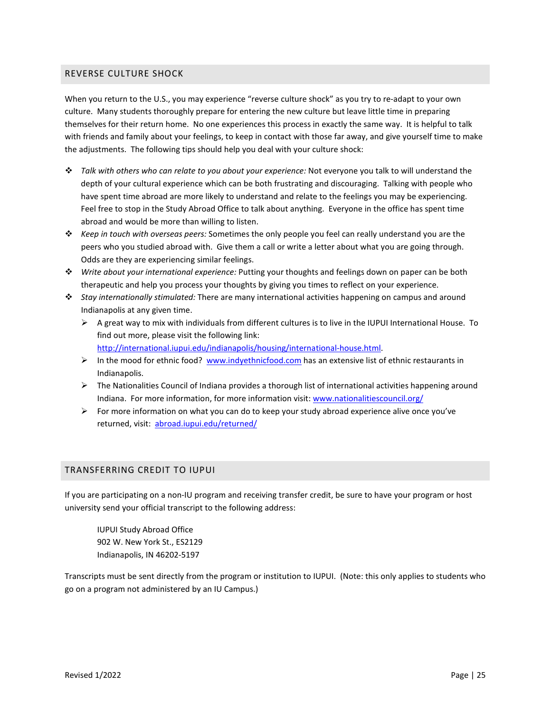# <span id="page-25-0"></span>REVERSE CULTURE SHOCK

When you return to the U.S., you may experience "reverse culture shock" as you try to re-adapt to your own culture. Many students thoroughly prepare for entering the new culture but leave little time in preparing themselves for their return home. No one experiences this process in exactly the same way. It is helpful to talk with friends and family about your feelings, to keep in contact with those far away, and give yourself time to make the adjustments. The following tips should help you deal with your culture shock:

- *Talk with others who can relate to you about your experience:* Not everyone you talk to will understand the depth of your cultural experience which can be both frustrating and discouraging. Talking with people who have spent time abroad are more likely to understand and relate to the feelings you may be experiencing. Feel free to stop in the Study Abroad Office to talk about anything. Everyone in the office has spent time abroad and would be more than willing to listen.
- *Keep in touch with overseas peers:* Sometimes the only people you feel can really understand you are the peers who you studied abroad with. Give them a call or write a letter about what you are going through. Odds are they are experiencing similar feelings.
- *Write about your international experience:* Putting your thoughts and feelings down on paper can be both therapeutic and help you process your thoughts by giving you times to reflect on your experience.
- *Stay internationally stimulated:* There are many international activities happening on campus and around Indianapolis at any given time.
	- $\triangleright$  A great way to mix with individuals from different cultures is to live in the IUPUI International House. To find out more, please visit the following link: [http://international.iupui.edu/indianapolis/housing/international-house.html.](http://international.iupui.edu/indianapolis/housing/international-house.html)
	- In the mood for ethnic food? [www.indyethnicfood.com](http://www.indyethnicfood.com/) has an extensive list of ethnic restaurants in Indianapolis.
	- $\triangleright$  The Nationalities Council of Indiana provides a thorough list of international activities happening around Indiana. For more information, for more information visit: [www.nationalitiescouncil.org/](http://www.nationalitiescouncil.org/)
	- $\triangleright$  For more information on what you can do to keep your study abroad experience alive once you've returned, visit: [abroad.iupui.edu/returned/](http://abroad.iupui.edu/returned/)

# <span id="page-25-1"></span>TRANSFERRING CREDIT TO IUPUI

If you are participating on a non-IU program and receiving transfer credit, be sure to have your program or host university send your official transcript to the following address:

IUPUI Study Abroad Office 902 W. New York St., ES2129 Indianapolis, IN 46202-5197

Transcripts must be sent directly from the program or institution to IUPUI. (Note: this only applies to students who go on a program not administered by an IU Campus.)